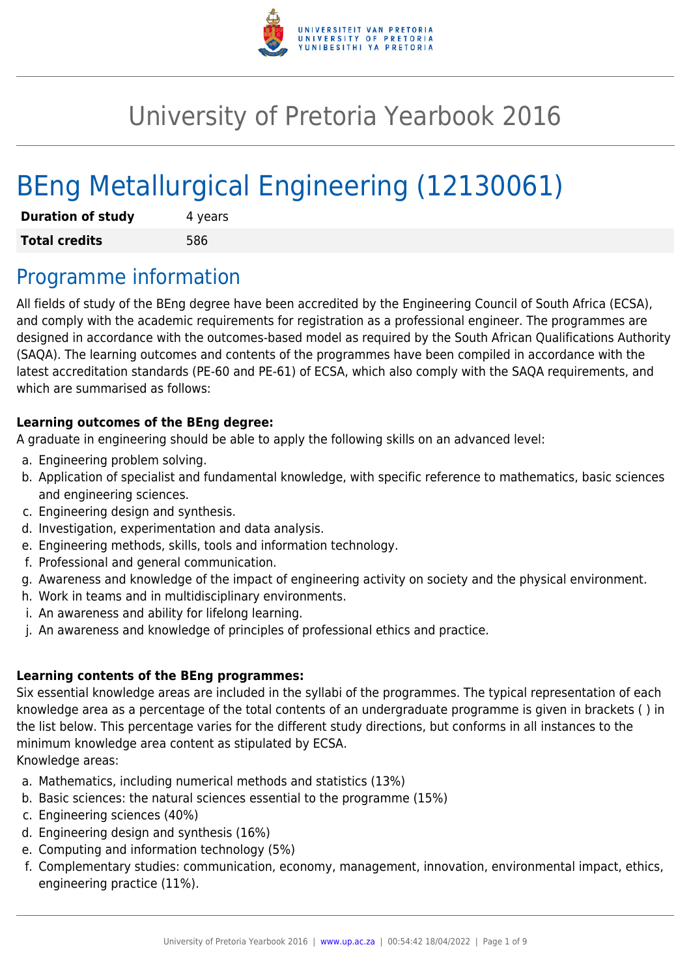

# University of Pretoria Yearbook 2016

# BEng Metallurgical Engineering (12130061)

| <b>Duration of study</b> | 4 years |  |  |  |
|--------------------------|---------|--|--|--|
| <b>Total credits</b>     | 586     |  |  |  |

## Programme information

All fields of study of the BEng degree have been accredited by the Engineering Council of South Africa (ECSA), and comply with the academic requirements for registration as a professional engineer. The programmes are designed in accordance with the outcomes-based model as required by the South African Qualifications Authority (SAQA). The learning outcomes and contents of the programmes have been compiled in accordance with the latest accreditation standards (PE-60 and PE-61) of ECSA, which also comply with the SAQA requirements, and which are summarised as follows:

### **Learning outcomes of the BEng degree:**

A graduate in engineering should be able to apply the following skills on an advanced level:

- a. Engineering problem solving.
- b. Application of specialist and fundamental knowledge, with specific reference to mathematics, basic sciences and engineering sciences.
- c. Engineering design and synthesis.
- d. Investigation, experimentation and data analysis.
- e. Engineering methods, skills, tools and information technology.
- f. Professional and general communication.
- g. Awareness and knowledge of the impact of engineering activity on society and the physical environment.
- h. Work in teams and in multidisciplinary environments.
- i. An awareness and ability for lifelong learning.
- j. An awareness and knowledge of principles of professional ethics and practice.

### **Learning contents of the BEng programmes:**

Six essential knowledge areas are included in the syllabi of the programmes. The typical representation of each knowledge area as a percentage of the total contents of an undergraduate programme is given in brackets ( ) in the list below. This percentage varies for the different study directions, but conforms in all instances to the minimum knowledge area content as stipulated by ECSA.

Knowledge areas:

- a. Mathematics, including numerical methods and statistics (13%)
- b. Basic sciences: the natural sciences essential to the programme (15%)
- c. Engineering sciences (40%)
- d. Engineering design and synthesis (16%)
- e. Computing and information technology (5%)
- f. Complementary studies: communication, economy, management, innovation, environmental impact, ethics, engineering practice (11%).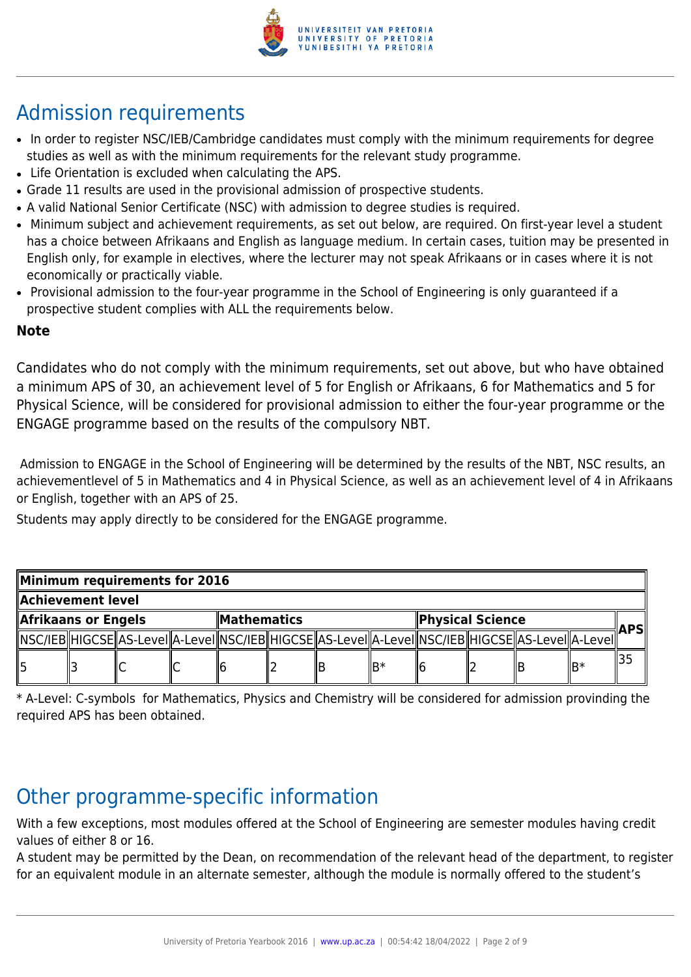

# Admission requirements

- In order to register NSC/IEB/Cambridge candidates must comply with the minimum requirements for degree studies as well as with the minimum requirements for the relevant study programme.
- Life Orientation is excluded when calculating the APS.
- Grade 11 results are used in the provisional admission of prospective students.
- A valid National Senior Certificate (NSC) with admission to degree studies is required.
- Minimum subject and achievement requirements, as set out below, are required. On first-year level a student has a choice between Afrikaans and English as language medium. In certain cases, tuition may be presented in English only, for example in electives, where the lecturer may not speak Afrikaans or in cases where it is not economically or practically viable.
- Provisional admission to the four-year programme in the School of Engineering is only guaranteed if a prospective student complies with ALL the requirements below.

### **Note**

Candidates who do not comply with the minimum requirements, set out above, but who have obtained a minimum APS of 30, an achievement level of 5 for English or Afrikaans, 6 for Mathematics and 5 for Physical Science, will be considered for provisional admission to either the four-year programme or the ENGAGE programme based on the results of the compulsory NBT.

 Admission to ENGAGE in the School of Engineering will be determined by the results of the NBT, NSC results, an achievementlevel of 5 in Mathematics and 4 in Physical Science, as well as an achievement level of 4 in Afrikaans or English, together with an APS of 25.

Students may apply directly to be considered for the ENGAGE programme.

| Minimum requirements for 2016 |  |  |  |              |  |                                                                                                              |                  |  |  |  |            |  |
|-------------------------------|--|--|--|--------------|--|--------------------------------------------------------------------------------------------------------------|------------------|--|--|--|------------|--|
| Achievement level             |  |  |  |              |  |                                                                                                              |                  |  |  |  |            |  |
| Afrikaans or Engels           |  |  |  | ∥Mathematics |  |                                                                                                              | Physical Science |  |  |  | <b>APS</b> |  |
|                               |  |  |  |              |  | [\NSC/IEB  HIGCSE  AS-Level  A-Level  NSC/IEB  HIGCSE  AS-Level  A-Level  NSC/IEB  HIGCSE  AS-Level  A-Level |                  |  |  |  |            |  |
| ll5                           |  |  |  |              |  |                                                                                                              |                  |  |  |  | lB∗        |  |

\* A-Level: C-symbols for Mathematics, Physics and Chemistry will be considered for admission provinding the required APS has been obtained.

# Other programme-specific information

With a few exceptions, most modules offered at the School of Engineering are semester modules having credit values of either 8 or 16.

A student may be permitted by the Dean, on recommendation of the relevant head of the department, to register for an equivalent module in an alternate semester, although the module is normally offered to the student's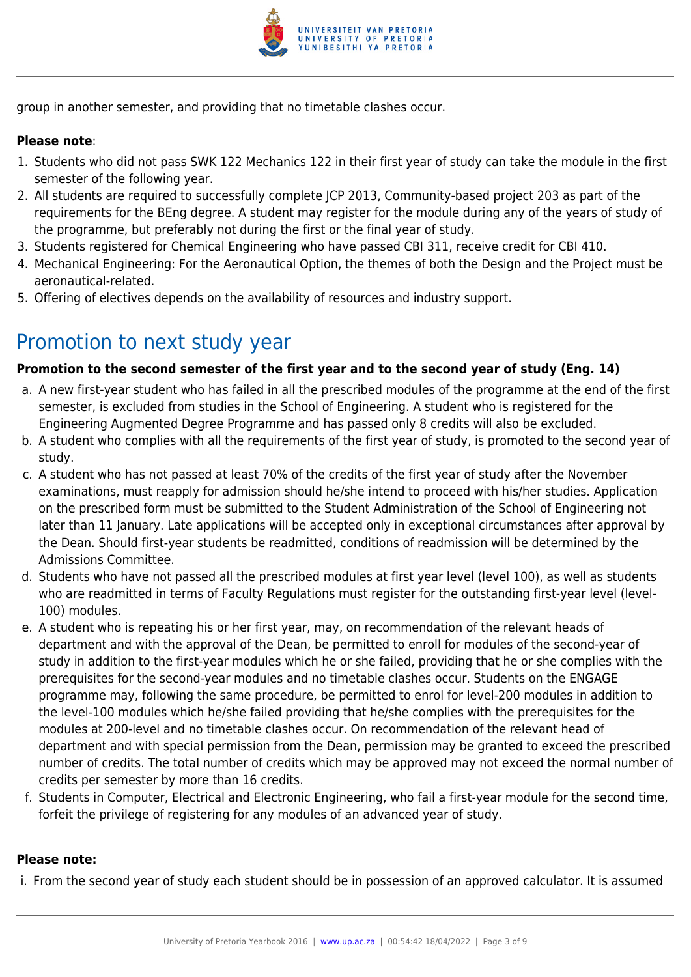

group in another semester, and providing that no timetable clashes occur.

#### **Please note**:

- 1. Students who did not pass SWK 122 Mechanics 122 in their first year of study can take the module in the first semester of the following year.
- 2. All students are required to successfully complete JCP 2013, Community-based project 203 as part of the requirements for the BEng degree. A student may register for the module during any of the years of study of the programme, but preferably not during the first or the final year of study.
- 3. Students registered for Chemical Engineering who have passed CBI 311, receive credit for CBI 410.
- 4. Mechanical Engineering: For the Aeronautical Option, the themes of both the Design and the Project must be aeronautical-related.
- 5. Offering of electives depends on the availability of resources and industry support.

## Promotion to next study year

#### **Promotion to the second semester of the first year and to the second year of study (Eng. 14)**

- a. A new first-year student who has failed in all the prescribed modules of the programme at the end of the first semester, is excluded from studies in the School of Engineering. A student who is registered for the Engineering Augmented Degree Programme and has passed only 8 credits will also be excluded.
- b. A student who complies with all the requirements of the first year of study, is promoted to the second year of study.
- c. A student who has not passed at least 70% of the credits of the first year of study after the November examinations, must reapply for admission should he/she intend to proceed with his/her studies. Application on the prescribed form must be submitted to the Student Administration of the School of Engineering not later than 11 January. Late applications will be accepted only in exceptional circumstances after approval by the Dean. Should first-year students be readmitted, conditions of readmission will be determined by the Admissions Committee.
- d. Students who have not passed all the prescribed modules at first year level (level 100), as well as students who are readmitted in terms of Faculty Regulations must register for the outstanding first-year level (level-100) modules.
- e. A student who is repeating his or her first year, may, on recommendation of the relevant heads of department and with the approval of the Dean, be permitted to enroll for modules of the second-year of study in addition to the first-year modules which he or she failed, providing that he or she complies with the prerequisites for the second-year modules and no timetable clashes occur. Students on the ENGAGE programme may, following the same procedure, be permitted to enrol for level-200 modules in addition to the level-100 modules which he/she failed providing that he/she complies with the prerequisites for the modules at 200-level and no timetable clashes occur. On recommendation of the relevant head of department and with special permission from the Dean, permission may be granted to exceed the prescribed number of credits. The total number of credits which may be approved may not exceed the normal number of credits per semester by more than 16 credits.
- f. Students in Computer, Electrical and Electronic Engineering, who fail a first-year module for the second time, forfeit the privilege of registering for any modules of an advanced year of study.

#### **Please note:**

i. From the second year of study each student should be in possession of an approved calculator. It is assumed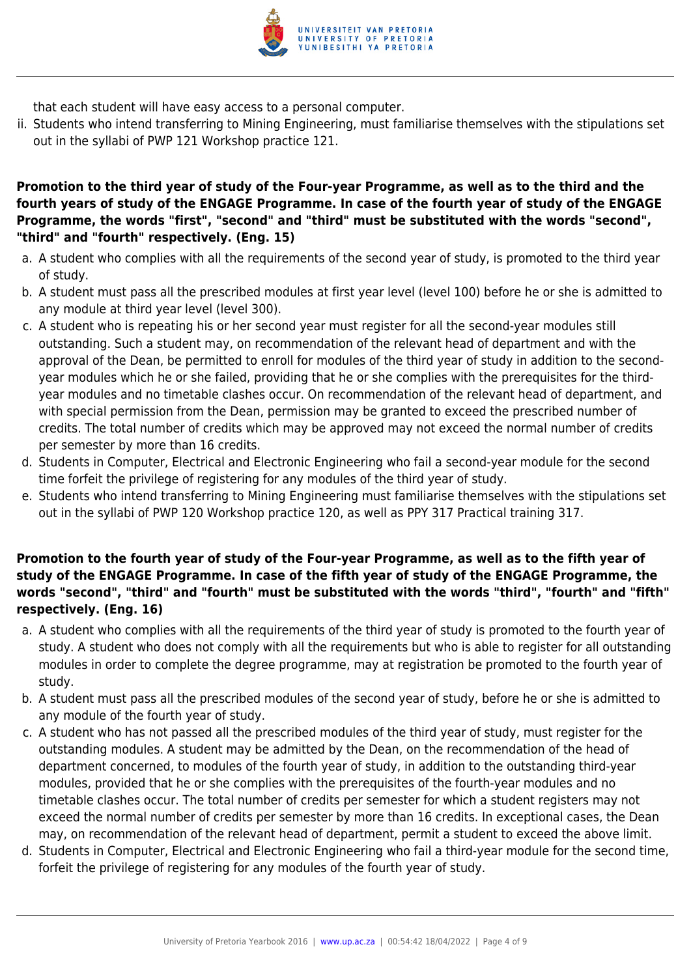

that each student will have easy access to a personal computer.

ii. Students who intend transferring to Mining Engineering, must familiarise themselves with the stipulations set out in the syllabi of PWP 121 Workshop practice 121.

#### **Promotion to the third year of study of the Four-year Programme, as well as to the third and the fourth years of study of the ENGAGE Programme. In case of the fourth year of study of the ENGAGE Programme, the words "first", "second" and "third" must be substituted with the words "second", "third" and "fourth" respectively. (Eng. 15)**

- a. A student who complies with all the requirements of the second year of study, is promoted to the third year of study.
- b. A student must pass all the prescribed modules at first year level (level 100) before he or she is admitted to any module at third year level (level 300).
- c. A student who is repeating his or her second year must register for all the second-year modules still outstanding. Such a student may, on recommendation of the relevant head of department and with the approval of the Dean, be permitted to enroll for modules of the third year of study in addition to the secondyear modules which he or she failed, providing that he or she complies with the prerequisites for the thirdyear modules and no timetable clashes occur. On recommendation of the relevant head of department, and with special permission from the Dean, permission may be granted to exceed the prescribed number of credits. The total number of credits which may be approved may not exceed the normal number of credits per semester by more than 16 credits.
- d. Students in Computer, Electrical and Electronic Engineering who fail a second-year module for the second time forfeit the privilege of registering for any modules of the third year of study.
- e. Students who intend transferring to Mining Engineering must familiarise themselves with the stipulations set out in the syllabi of PWP 120 Workshop practice 120, as well as PPY 317 Practical training 317.

#### **Promotion to the fourth year of study of the Four-year Programme, as well as to the fifth year of study of the ENGAGE Programme. In case of the fifth year of study of the ENGAGE Programme, the words "second", "third" and "fourth" must be substituted with the words "third", "fourth" and "fifth" respectively. (Eng. 16)**

- a. A student who complies with all the requirements of the third year of study is promoted to the fourth year of study. A student who does not comply with all the requirements but who is able to register for all outstanding modules in order to complete the degree programme, may at registration be promoted to the fourth year of study.
- b. A student must pass all the prescribed modules of the second year of study, before he or she is admitted to any module of the fourth year of study.
- c. A student who has not passed all the prescribed modules of the third year of study, must register for the outstanding modules. A student may be admitted by the Dean, on the recommendation of the head of department concerned, to modules of the fourth year of study, in addition to the outstanding third-year modules, provided that he or she complies with the prerequisites of the fourth-year modules and no timetable clashes occur. The total number of credits per semester for which a student registers may not exceed the normal number of credits per semester by more than 16 credits. In exceptional cases, the Dean may, on recommendation of the relevant head of department, permit a student to exceed the above limit.
- d. Students in Computer, Electrical and Electronic Engineering who fail a third-year module for the second time, forfeit the privilege of registering for any modules of the fourth year of study.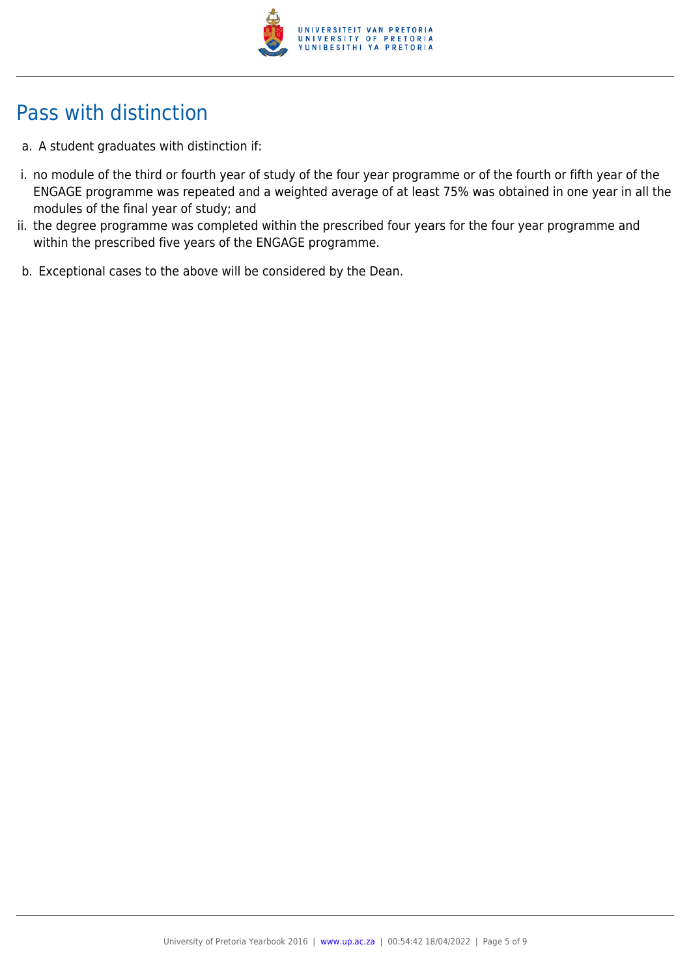

# Pass with distinction

- a. A student graduates with distinction if:
- i. no module of the third or fourth year of study of the four year programme or of the fourth or fifth year of the ENGAGE programme was repeated and a weighted average of at least 75% was obtained in one year in all the modules of the final year of study; and
- ii. the degree programme was completed within the prescribed four years for the four year programme and within the prescribed five years of the ENGAGE programme.
- b. Exceptional cases to the above will be considered by the Dean.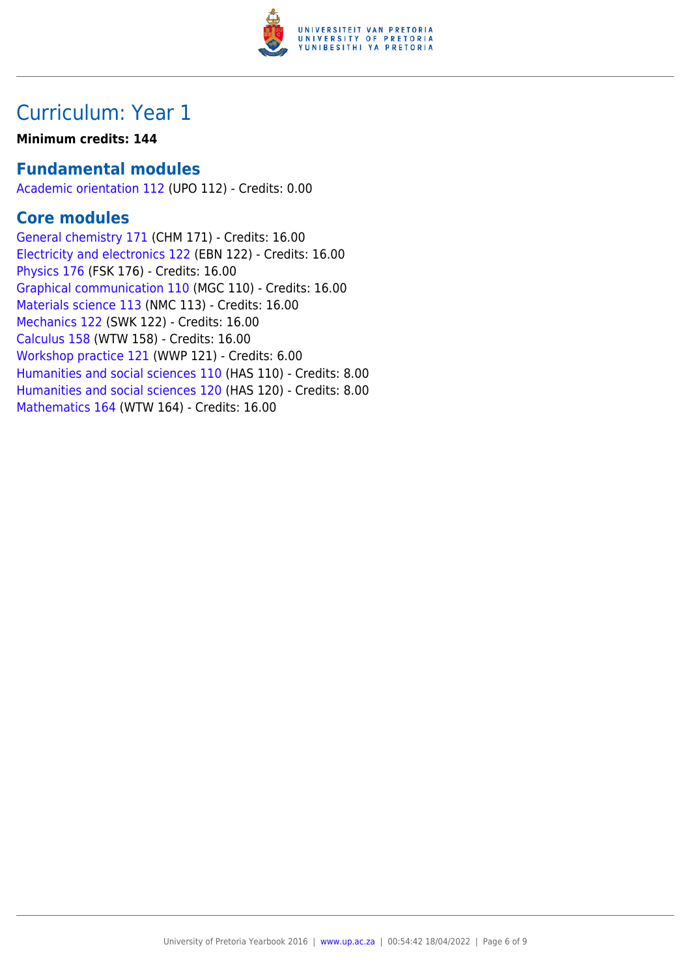

## Curriculum: Year 1

#### **Minimum credits: 144**

### **Fundamental modules**

[Academic orientation 112](https://www.up.ac.za/yearbooks/2016/modules/view/UPO 112) (UPO 112) - Credits: 0.00

### **Core modules**

[General chemistry 171](https://www.up.ac.za/yearbooks/2016/modules/view/CHM 171) (CHM 171) - Credits: 16.00 [Electricity and electronics 122](https://www.up.ac.za/yearbooks/2016/modules/view/EBN 122) (EBN 122) - Credits: 16.00 [Physics 176](https://www.up.ac.za/yearbooks/2016/modules/view/FSK 176) (FSK 176) - Credits: 16.00 [Graphical communication 110](https://www.up.ac.za/yearbooks/2016/modules/view/MGC 110) (MGC 110) - Credits: 16.00 [Materials science 113](https://www.up.ac.za/yearbooks/2016/modules/view/NMC 113) (NMC 113) - Credits: 16.00 [Mechanics 122](https://www.up.ac.za/yearbooks/2016/modules/view/SWK 122) (SWK 122) - Credits: 16.00 [Calculus 158](https://www.up.ac.za/yearbooks/2016/modules/view/WTW 158) (WTW 158) - Credits: 16.00 [Workshop practice 121](https://www.up.ac.za/yearbooks/2016/modules/view/WWP 121) (WWP 121) - Credits: 6.00 [Humanities and social sciences 110](https://www.up.ac.za/yearbooks/2016/modules/view/HAS 110) (HAS 110) - Credits: 8.00 [Humanities and social sciences 120](https://www.up.ac.za/yearbooks/2016/modules/view/HAS 120) (HAS 120) - Credits: 8.00 [Mathematics 164](https://www.up.ac.za/yearbooks/2016/modules/view/WTW 164) (WTW 164) - Credits: 16.00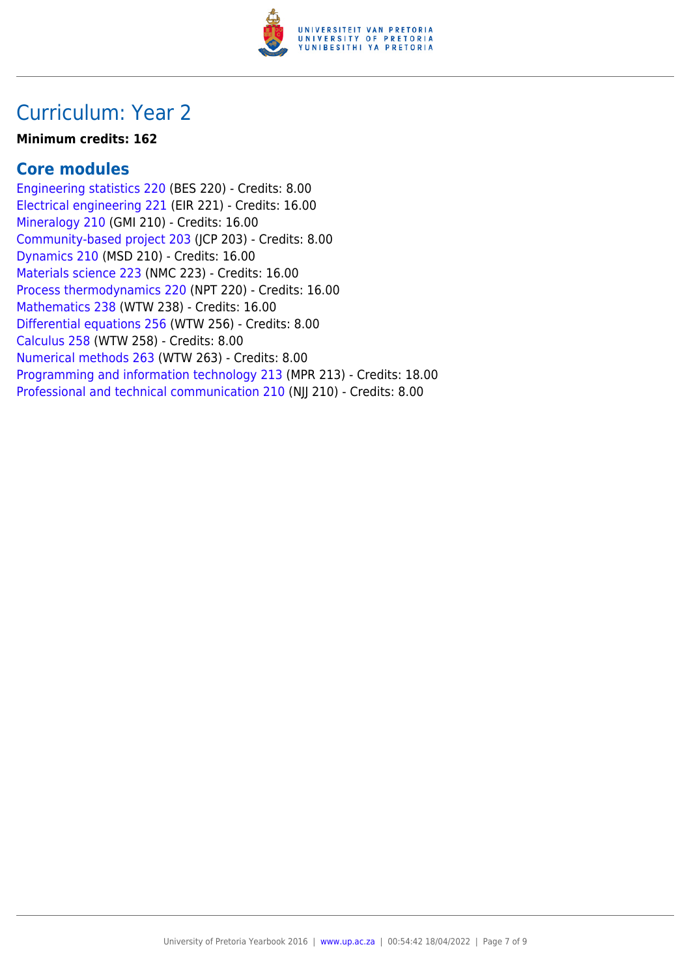

### Curriculum: Year 2

#### **Minimum credits: 162**

### **Core modules**

[Engineering statistics 220](https://www.up.ac.za/yearbooks/2016/modules/view/BES 220) (BES 220) - Credits: 8.00 [Electrical engineering 221](https://www.up.ac.za/yearbooks/2016/modules/view/EIR 221) (EIR 221) - Credits: 16.00 [Mineralogy 210](https://www.up.ac.za/yearbooks/2016/modules/view/GMI 210) (GMI 210) - Credits: 16.00 [Community-based project 203](https://www.up.ac.za/yearbooks/2016/modules/view/JCP 203) (JCP 203) - Credits: 8.00 [Dynamics 210](https://www.up.ac.za/yearbooks/2016/modules/view/MSD 210) (MSD 210) - Credits: 16.00 [Materials science 223](https://www.up.ac.za/yearbooks/2016/modules/view/NMC 223) (NMC 223) - Credits: 16.00 [Process thermodynamics 220](https://www.up.ac.za/yearbooks/2016/modules/view/NPT 220) (NPT 220) - Credits: 16.00 [Mathematics 238](https://www.up.ac.za/yearbooks/2016/modules/view/WTW 238) (WTW 238) - Credits: 16.00 [Differential equations 256](https://www.up.ac.za/yearbooks/2016/modules/view/WTW 256) (WTW 256) - Credits: 8.00 [Calculus 258](https://www.up.ac.za/yearbooks/2016/modules/view/WTW 258) (WTW 258) - Credits: 8.00 [Numerical methods 263](https://www.up.ac.za/yearbooks/2016/modules/view/WTW 263) (WTW 263) - Credits: 8.00 [Programming and information technology 213](https://www.up.ac.za/yearbooks/2016/modules/view/MPR 213) (MPR 213) - Credits: 18.00 [Professional and technical communication 210](https://www.up.ac.za/yearbooks/2016/modules/view/NJJ 210) (NJJ 210) - Credits: 8.00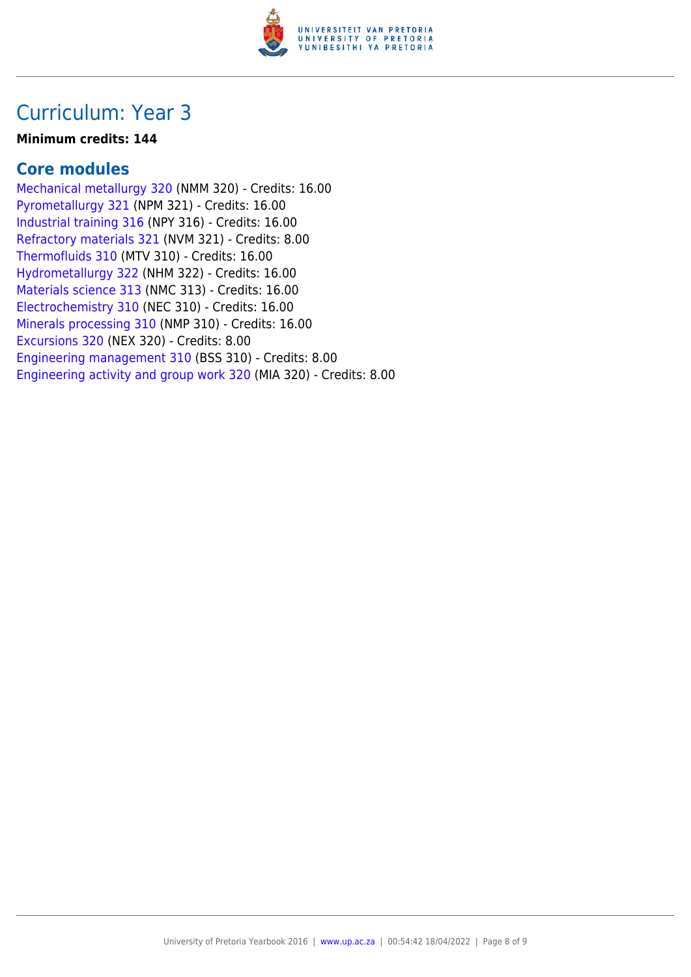

### Curriculum: Year 3

#### **Minimum credits: 144**

### **Core modules**

[Mechanical metallurgy 320](https://www.up.ac.za/yearbooks/2016/modules/view/NMM 320) (NMM 320) - Credits: 16.00 [Pyrometallurgy 321](https://www.up.ac.za/yearbooks/2016/modules/view/NPM 321) (NPM 321) - Credits: 16.00 [Industrial training 316](https://www.up.ac.za/yearbooks/2016/modules/view/NPY 316) (NPY 316) - Credits: 16.00 [Refractory materials 321](https://www.up.ac.za/yearbooks/2016/modules/view/NVM 321) (NVM 321) - Credits: 8.00 [Thermofluids 310](https://www.up.ac.za/yearbooks/2016/modules/view/MTV 310) (MTV 310) - Credits: 16.00 [Hydrometallurgy 322](https://www.up.ac.za/yearbooks/2016/modules/view/NHM 322) (NHM 322) - Credits: 16.00 [Materials science 313](https://www.up.ac.za/yearbooks/2016/modules/view/NMC 313) (NMC 313) - Credits: 16.00 [Electrochemistry 310](https://www.up.ac.za/yearbooks/2016/modules/view/NEC 310) (NEC 310) - Credits: 16.00 [Minerals processing 310](https://www.up.ac.za/yearbooks/2016/modules/view/NMP 310) (NMP 310) - Credits: 16.00 [Excursions 320](https://www.up.ac.za/yearbooks/2016/modules/view/NEX 320) (NEX 320) - Credits: 8.00 [Engineering management 310](https://www.up.ac.za/yearbooks/2016/modules/view/BSS 310) (BSS 310) - Credits: 8.00 [Engineering activity and group work 320](https://www.up.ac.za/yearbooks/2016/modules/view/MIA 320) (MIA 320) - Credits: 8.00